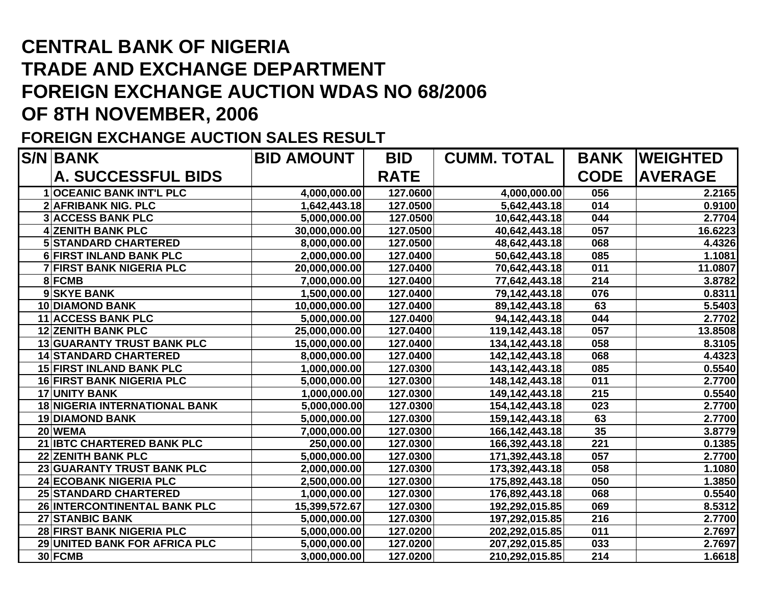## **CENTRAL BANK OF NIGERIA TRADE AND EXCHANGE DEPARTMENT FOREIGN EXCHANGE AUCTION WDAS NO 68/2006 OF 8TH NOVEMBER, 2006**

## **FOREIGN EXCHANGE AUCTION SALES RESULT**

| <b>S/N BANK</b>                      | <b>BID AMOUNT</b> | <b>BID</b>  | <b>CUMM. TOTAL</b> | <b>BANK</b> | <b>WEIGHTED</b> |
|--------------------------------------|-------------------|-------------|--------------------|-------------|-----------------|
| <b>A. SUCCESSFUL BIDS</b>            |                   | <b>RATE</b> |                    | <b>CODE</b> | <b>AVERAGE</b>  |
| <b>1OCEANIC BANK INT'L PLC</b>       | 4,000,000.00      | 127.0600    | 4,000,000.00       | 056         | 2.2165          |
| <b>2 AFRIBANK NIG. PLC</b>           | 1,642,443.18      | 127.0500    | 5,642,443.18       | 014         | 0.9100          |
| <b>3 ACCESS BANK PLC</b>             | 5,000,000.00      | 127.0500    | 10,642,443.18      | 044         | 2.7704          |
| <b>4 ZENITH BANK PLC</b>             | 30,000,000.00     | 127.0500    | 40,642,443.18      | 057         | 16.6223         |
| <b>5 STANDARD CHARTERED</b>          | 8,000,000.00      | 127.0500    | 48,642,443.18      | 068         | 4.4326          |
| <b>6 FIRST INLAND BANK PLC</b>       | 2,000,000.00      | 127.0400    | 50,642,443.18      | 085         | 1.1081          |
| <b>7 FIRST BANK NIGERIA PLC</b>      | 20,000,000.00     | 127.0400    | 70,642,443.18      | 011         | 11.0807         |
| 8 FCMB                               | 7,000,000.00      | 127.0400    | 77,642,443.18      | 214         | 3.8782          |
| 9 SKYE BANK                          | 1,500,000.00      | 127.0400    | 79,142,443.18      | 076         | 0.8311          |
| <b>10 DIAMOND BANK</b>               | 10,000,000.00     | 127.0400    | 89,142,443.18      | 63          | 5.5403          |
| 11 ACCESS BANK PLC                   | 5,000,000.00      | 127.0400    | 94,142,443.18      | 044         | 2.7702          |
| <b>12 ZENITH BANK PLC</b>            | 25,000,000.00     | 127.0400    | 119,142,443.18     | 057         | 13.8508         |
| <b>13 GUARANTY TRUST BANK PLC</b>    | 15,000,000.00     | 127.0400    | 134, 142, 443. 18  | 058         | 8.3105          |
| <b>14 STANDARD CHARTERED</b>         | 8,000,000.00      | 127.0400    | 142, 142, 443. 18  | 068         | 4.4323          |
| <b>15 FIRST INLAND BANK PLC</b>      | 1,000,000.00      | 127.0300    | 143,142,443.18     | 085         | 0.5540          |
| <b>16 FIRST BANK NIGERIA PLC</b>     | 5,000,000.00      | 127.0300    | 148, 142, 443. 18  | 011         | 2.7700          |
| <b>17 UNITY BANK</b>                 | 1,000,000.00      | 127.0300    | 149,142,443.18     | 215         | 0.5540          |
| <b>18 NIGERIA INTERNATIONAL BANK</b> | 5,000,000.00      | 127.0300    | 154, 142, 443. 18  | 023         | 2.7700          |
| <b>19 DIAMOND BANK</b>               | 5,000,000.00      | 127.0300    | 159,142,443.18     | 63          | 2.7700          |
| 20 WEMA                              | 7,000,000.00      | 127.0300    | 166, 142, 443. 18  | 35          | 3.8779          |
| 21 IBTC CHARTERED BANK PLC           | 250,000.00        | 127.0300    | 166,392,443.18     | 221         | 0.1385          |
| <b>22 ZENITH BANK PLC</b>            | 5,000,000.00      | 127.0300    | 171,392,443.18     | 057         | 2.7700          |
| 23 GUARANTY TRUST BANK PLC           | 2,000,000.00      | 127.0300    | 173,392,443.18     | 058         | 1.1080          |
| 24 ECOBANK NIGERIA PLC               | 2,500,000.00      | 127.0300    | 175,892,443.18     | 050         | 1.3850          |
| <b>25 STANDARD CHARTERED</b>         | 1,000,000.00      | 127.0300    | 176,892,443.18     | 068         | 0.5540          |
| 26 INTERCONTINENTAL BANK PLC         | 15,399,572.67     | 127.0300    | 192,292,015.85     | 069         | 8.5312          |
| 27 STANBIC BANK                      | 5,000,000.00      | 127.0300    | 197,292,015.85     | 216         | 2.7700          |
| 28 FIRST BANK NIGERIA PLC            | 5,000,000.00      | 127.0200    | 202,292,015.85     | 011         | 2.7697          |
| 29 UNITED BANK FOR AFRICA PLC        | 5,000,000.00      | 127.0200    | 207,292,015.85     | 033         | 2.7697          |
| 30 FCMB                              | 3,000,000.00      | 127.0200    | 210,292,015.85     | 214         | 1.6618          |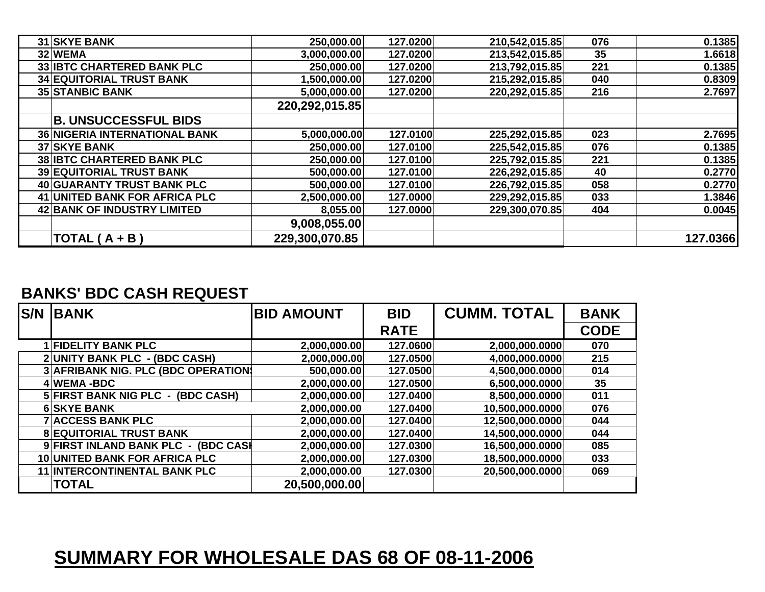| <b>31 SKYE BANK</b>                  | 250,000.00     | 127.0200 | 210,542,015.85 | 076 | 0.1385   |
|--------------------------------------|----------------|----------|----------------|-----|----------|
| 32 WEMA                              | 3,000,000.00   | 127.0200 | 213,542,015.85 | 35  | 1.6618   |
| <b>33 IBTC CHARTERED BANK PLC</b>    | 250,000.00     | 127.0200 | 213,792,015.85 | 221 | 0.1385   |
| <b>34 EQUITORIAL TRUST BANK</b>      | 1,500,000.00   | 127.0200 | 215,292,015.85 | 040 | 0.8309   |
| <b>35 STANBIC BANK</b>               | 5,000,000.00   | 127.0200 | 220,292,015.85 | 216 | 2.7697   |
|                                      | 220,292,015.85 |          |                |     |          |
| <b>B. UNSUCCESSFUL BIDS</b>          |                |          |                |     |          |
| <b>36 NIGERIA INTERNATIONAL BANK</b> | 5,000,000.00   | 127.0100 | 225,292,015.85 | 023 | 2.7695   |
| <b>37 SKYE BANK</b>                  | 250,000.00     | 127.0100 | 225,542,015.85 | 076 | 0.1385   |
| <b>38 IBTC CHARTERED BANK PLC</b>    | 250,000.00     | 127.0100 | 225,792,015.85 | 221 | 0.1385   |
| <b>39 EQUITORIAL TRUST BANK</b>      | 500,000.00     | 127.0100 | 226,292,015.85 | 40  | 0.2770   |
| 40 GUARANTY TRUST BANK PLC           | 500,000.00     | 127.0100 | 226,792,015.85 | 058 | 0.2770   |
| 41 UNITED BANK FOR AFRICA PLC        | 2,500,000.00   | 127.0000 | 229,292,015.85 | 033 | 1.3846   |
| 42 BANK OF INDUSTRY LIMITED          | 8,055.00       | 127.0000 | 229,300,070.85 | 404 | 0.0045   |
|                                      | 9,008,055.00   |          |                |     |          |
| $TOTAL(A + B)$                       | 229,300,070.85 |          |                |     | 127.0366 |

## **BANKS' BDC CASH REQUEST**

| <b>S/N</b> | <b>IBANK</b>                         | <b>BID AMOUNT</b> | <b>BID</b>  | <b>CUMM. TOTAL</b> | <b>BANK</b> |
|------------|--------------------------------------|-------------------|-------------|--------------------|-------------|
|            |                                      |                   | <b>RATE</b> |                    | <b>CODE</b> |
|            | 1 FIDELITY BANK PLC                  | 2,000,000.00      | 127.0600    | 2,000,000.0000     | 070         |
|            | 2 UNITY BANK PLC - (BDC CASH)        | 2,000,000.00      | 127.0500    | 4,000,000.0000     | 215         |
|            | 3 AFRIBANK NIG. PLC (BDC OPERATION)  | 500,000.00        | 127.0500    | 4,500,000.0000     | 014         |
|            | 4 WEMA-BDC                           | 2,000,000.00      | 127.0500    | 6,500,000.0000     | 35          |
|            | 5 FIRST BANK NIG PLC - (BDC CASH)    | 2,000,000.00      | 127.0400    | 8,500,000.0000     | 011         |
|            | <b>6 SKYE BANK</b>                   | 2,000,000.00      | 127.0400    | 10,500,000.0000    | 076         |
|            | <b>7 ACCESS BANK PLC</b>             | 2,000,000.00      | 127.0400    | 12,500,000.0000    | 044         |
|            | <b>8 EQUITORIAL TRUST BANK</b>       | 2,000,000.00      | 127.0400    | 14,500,000.0000    | 044         |
|            | 9 FIRST INLAND BANK PLC - (BDC CASH  | 2,000,000.00      | 127.0300    | 16,500,000.0000    | 085         |
|            | <b>10 UNITED BANK FOR AFRICA PLC</b> | 2,000,000.00      | 127.0300    | 18,500,000.0000    | 033         |
|            | <b>11 INTERCONTINENTAL BANK PLC</b>  | 2,000,000.00      | 127.0300    | 20,500,000.0000    | 069         |
|            | <b>TOTAL</b>                         | 20,500,000.00     |             |                    |             |

## **SUMMARY FOR WHOLESALE DAS 68 OF 08-11-2006**